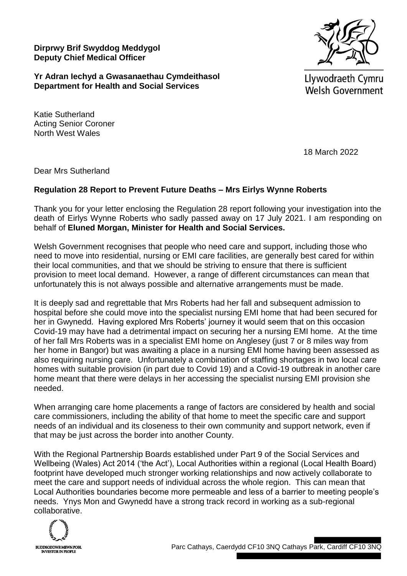**Dirprwy Brif Swyddog Meddygol Deputy Chief Medical Officer**



**Yr Adran Iechyd a Gwasanaethau Cymdeithasol Department for Health and Social Services**

Llywodraeth Cymru **Welsh Government** 

Katie Sutherland Acting Senior Coroner North West Wales

18 March 2022

Dear Mrs Sutherland

## **Regulation 28 Report to Prevent Future Deaths – Mrs Eirlys Wynne Roberts**

Thank you for your letter enclosing the Regulation 28 report following your investigation into the death of Eirlys Wynne Roberts who sadly passed away on 17 July 2021. I am responding on behalf of **Eluned Morgan, Minister for Health and Social Services.**

Welsh Government recognises that people who need care and support, including those who need to move into residential, nursing or EMI care facilities, are generally best cared for within their local communities, and that we should be striving to ensure that there is sufficient provision to meet local demand. However, a range of different circumstances can mean that unfortunately this is not always possible and alternative arrangements must be made.

It is deeply sad and regrettable that Mrs Roberts had her fall and subsequent admission to hospital before she could move into the specialist nursing EMI home that had been secured for her in Gwynedd. Having explored Mrs Roberts' journey it would seem that on this occasion Covid-19 may have had a detrimental impact on securing her a nursing EMI home. At the time of her fall Mrs Roberts was in a specialist EMI home on Anglesey (just 7 or 8 miles way from her home in Bangor) but was awaiting a place in a nursing EMI home having been assessed as also requiring nursing care. Unfortunately a combination of staffing shortages in two local care homes with suitable provision (in part due to Covid 19) and a Covid-19 outbreak in another care home meant that there were delays in her accessing the specialist nursing EMI provision she needed.

When arranging care home placements a range of factors are considered by health and social care commissioners, including the ability of that home to meet the specific care and support needs of an individual and its closeness to their own community and support network, even if that may be just across the border into another County.

With the Regional Partnership Boards established under Part 9 of the Social Services and Wellbeing (Wales) Act 2014 ('the Act'), Local Authorities within a regional (Local Health Board) footprint have developed much stronger working relationships and now actively collaborate to meet the care and support needs of individual across the whole region. This can mean that Local Authorities boundaries become more permeable and less of a barrier to meeting people's needs. Ynys Mon and Gwynedd have a strong track record in working as a sub-regional collaborative.

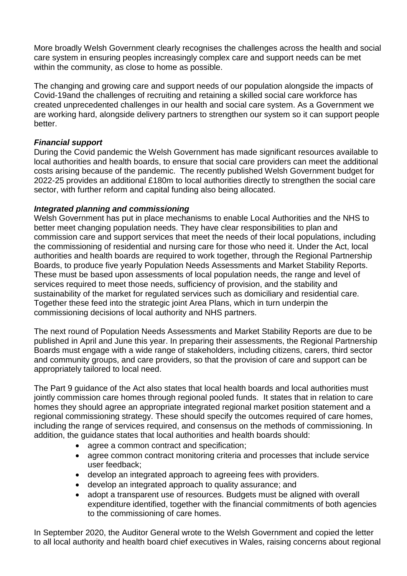More broadly Welsh Government clearly recognises the challenges across the health and social care system in ensuring peoples increasingly complex care and support needs can be met within the community, as close to home as possible.

The changing and growing care and support needs of our population alongside the impacts of Covid-19and the challenges of recruiting and retaining a skilled social care workforce has created unprecedented challenges in our health and social care system. As a Government we are working hard, alongside delivery partners to strengthen our system so it can support people better.

## *Financial support*

During the Covid pandemic the Welsh Government has made significant resources available to local authorities and health boards, to ensure that social care providers can meet the additional costs arising because of the pandemic. The recently published Welsh Government budget for 2022-25 provides an additional £180m to local authorities directly to strengthen the social care sector, with further reform and capital funding also being allocated.

## *Integrated planning and commissioning*

Welsh Government has put in place mechanisms to enable Local Authorities and the NHS to better meet changing population needs. They have clear responsibilities to plan and commission care and support services that meet the needs of their local populations, including the commissioning of residential and nursing care for those who need it. Under the Act, local authorities and health boards are required to work together, through the Regional Partnership Boards, to produce five yearly Population Needs Assessments and Market Stability Reports. These must be based upon assessments of local population needs, the range and level of services required to meet those needs, sufficiency of provision, and the stability and sustainability of the market for regulated services such as domiciliary and residential care. Together these feed into the strategic joint Area Plans, which in turn underpin the commissioning decisions of local authority and NHS partners.

The next round of Population Needs Assessments and Market Stability Reports are due to be published in April and June this year. In preparing their assessments, the Regional Partnership Boards must engage with a wide range of stakeholders, including citizens, carers, third sector and community groups, and care providers, so that the provision of care and support can be appropriately tailored to local need.

The Part 9 guidance of the Act also states that local health boards and local authorities must jointly commission care homes through regional pooled funds. It states that in relation to care homes they should agree an appropriate integrated regional market position statement and a regional commissioning strategy. These should specify the outcomes required of care homes, including the range of services required, and consensus on the methods of commissioning. In addition, the guidance states that local authorities and health boards should:

- agree a common contract and specification;
- agree common contract monitoring criteria and processes that include service user feedback;
- develop an integrated approach to agreeing fees with providers.
- develop an integrated approach to quality assurance; and
- adopt a transparent use of resources. Budgets must be aligned with overall expenditure identified, together with the financial commitments of both agencies to the commissioning of care homes.

In September 2020, the Auditor General wrote to the Welsh Government and copied the letter to all local authority and health board chief executives in Wales, raising concerns about regional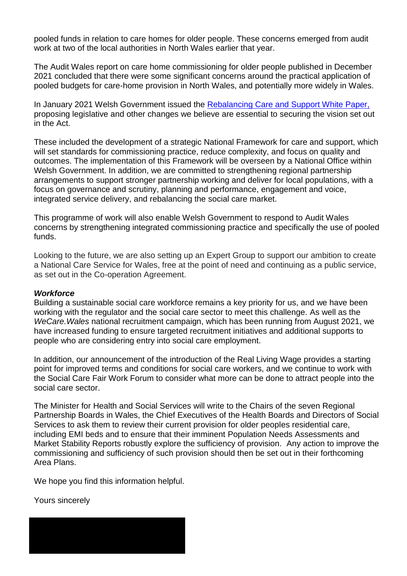pooled funds in relation to care homes for older people. These concerns emerged from audit work at two of the local authorities in North Wales earlier that year.

The Audit Wales report on care home commissioning for older people published in December 2021 concluded that there were some significant concerns around the practical application of pooled budgets for care-home provision in North Wales, and potentially more widely in Wales.

In January 2021 Welsh Government issued the [Rebalancing Care and Support White Paper,](https://gov.wales/sites/default/files/consultations/2021-01/consutation-document.pdf) proposing legislative and other changes we believe are essential to securing the vision set out in the Act.

These included the development of a strategic National Framework for care and support, which will set standards for commissioning practice, reduce complexity, and focus on quality and outcomes. The implementation of this Framework will be overseen by a National Office within Welsh Government. In addition, we are committed to strengthening regional partnership arrangements to support stronger partnership working and deliver for local populations, with a focus on governance and scrutiny, planning and performance, engagement and voice, integrated service delivery, and rebalancing the social care market.

This programme of work will also enable Welsh Government to respond to Audit Wales concerns by strengthening integrated commissioning practice and specifically the use of pooled funds.

Looking to the future, we are also setting up an Expert Group to support our ambition to create a National Care Service for Wales, free at the point of need and continuing as a public service, as set out in the Co-operation Agreement.

## *Workforce*

Building a sustainable social care workforce remains a key priority for us, and we have been working with the regulator and the social care sector to meet this challenge. As well as the *WeCare.Wales* national recruitment campaign, which has been running from August 2021, we have increased funding to ensure targeted recruitment initiatives and additional supports to people who are considering entry into social care employment.

In addition, our announcement of the introduction of the Real Living Wage provides a starting point for improved terms and conditions for social care workers, and we continue to work with the Social Care Fair Work Forum to consider what more can be done to attract people into the social care sector.

The Minister for Health and Social Services will write to the Chairs of the seven Regional Partnership Boards in Wales, the Chief Executives of the Health Boards and Directors of Social Services to ask them to review their current provision for older peoples residential care, including EMI beds and to ensure that their imminent Population Needs Assessments and Market Stability Reports robustly explore the sufficiency of provision. Any action to improve the commissioning and sufficiency of such provision should then be set out in their forthcoming Area Plans.

We hope you find this information helpful.

Yours sincerely